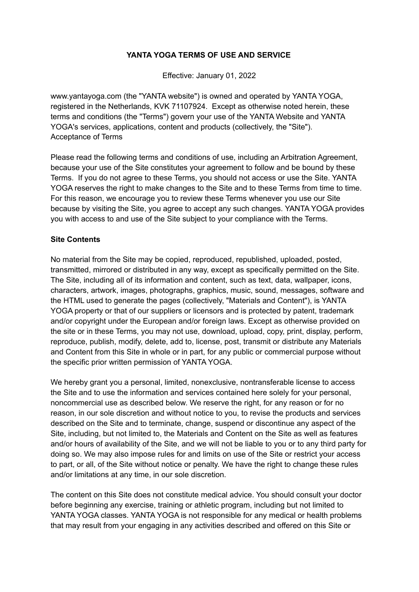# **YANTA YOGA TERMS OF USE AND SERVICE**

Effective: January 01, 2022

www.yantayoga.com (the "YANTA website") is owned and operated by YANTA YOGA, registered in the Netherlands, KVK 71107924. Except as otherwise noted herein, these terms and conditions (the "Terms") govern your use of the YANTA Website and YANTA YOGA's services, applications, content and products (collectively, the "Site"). Acceptance of Terms

Please read the following terms and conditions of use, including an Arbitration Agreement, because your use of the Site constitutes your agreement to follow and be bound by these Terms. If you do not agree to these Terms, you should not access or use the Site. YANTA YOGA reserves the right to make changes to the Site and to these Terms from time to time. For this reason, we encourage you to review these Terms whenever you use our Site because by visiting the Site, you agree to accept any such changes. YANTA YOGA provides you with access to and use of the Site subject to your compliance with the Terms.

### **Site Contents**

No material from the Site may be copied, reproduced, republished, uploaded, posted, transmitted, mirrored or distributed in any way, except as specifically permitted on the Site. The Site, including all of its information and content, such as text, data, wallpaper, icons, characters, artwork, images, photographs, graphics, music, sound, messages, software and the HTML used to generate the pages (collectively, "Materials and Content"), is YANTA YOGA property or that of our suppliers or licensors and is protected by patent, trademark and/or copyright under the European and/or foreign laws. Except as otherwise provided on the site or in these Terms, you may not use, download, upload, copy, print, display, perform, reproduce, publish, modify, delete, add to, license, post, transmit or distribute any Materials and Content from this Site in whole or in part, for any public or commercial purpose without the specific prior written permission of YANTA YOGA.

We hereby grant you a personal, limited, nonexclusive, nontransferable license to access the Site and to use the information and services contained here solely for your personal, noncommercial use as described below. We reserve the right, for any reason or for no reason, in our sole discretion and without notice to you, to revise the products and services described on the Site and to terminate, change, suspend or discontinue any aspect of the Site, including, but not limited to, the Materials and Content on the Site as well as features and/or hours of availability of the Site, and we will not be liable to you or to any third party for doing so. We may also impose rules for and limits on use of the Site or restrict your access to part, or all, of the Site without notice or penalty. We have the right to change these rules and/or limitations at any time, in our sole discretion.

The content on this Site does not constitute medical advice. You should consult your doctor before beginning any exercise, training or athletic program, including but not limited to YANTA YOGA classes. YANTA YOGA is not responsible for any medical or health problems that may result from your engaging in any activities described and offered on this Site or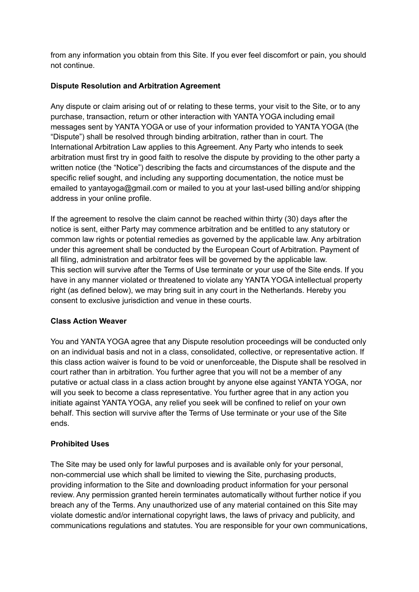from any information you obtain from this Site. If you ever feel discomfort or pain, you should not continue.

# **Dispute Resolution and Arbitration Agreement**

Any dispute or claim arising out of or relating to these terms, your visit to the Site, or to any purchase, transaction, return or other interaction with YANTA YOGA including email messages sent by YANTA YOGA or use of your information provided to YANTA YOGA (the "Dispute") shall be resolved through binding arbitration, rather than in court. The International Arbitration Law applies to this Agreement. Any Party who intends to seek arbitration must first try in good faith to resolve the dispute by providing to the other party a written notice (the "Notice") describing the facts and circumstances of the dispute and the specific relief sought, and including any supporting documentation, the notice must be emailed to yantayoga@gmail.com or mailed to you at your last-used billing and/or shipping address in your online profile.

If the agreement to resolve the claim cannot be reached within thirty (30) days after the notice is sent, either Party may commence arbitration and be entitled to any statutory or common law rights or potential remedies as governed by the applicable law. Any arbitration under this agreement shall be conducted by the European Court of Arbitration. Payment of all filing, administration and arbitrator fees will be governed by the applicable law. This section will survive after the Terms of Use terminate or your use of the Site ends. If you have in any manner violated or threatened to violate any YANTA YOGA intellectual property right (as defined below), we may bring suit in any court in the Netherlands. Hereby you consent to exclusive jurisdiction and venue in these courts.

# **Class Action Weaver**

You and YANTA YOGA agree that any Dispute resolution proceedings will be conducted only on an individual basis and not in a class, consolidated, collective, or representative action. If this class action waiver is found to be void or unenforceable, the Dispute shall be resolved in court rather than in arbitration. You further agree that you will not be a member of any putative or actual class in a class action brought by anyone else against YANTA YOGA, nor will you seek to become a class representative. You further agree that in any action you initiate against YANTA YOGA, any relief you seek will be confined to relief on your own behalf. This section will survive after the Terms of Use terminate or your use of the Site ends.

### **Prohibited Uses**

The Site may be used only for lawful purposes and is available only for your personal, non-commercial use which shall be limited to viewing the Site, purchasing products, providing information to the Site and downloading product information for your personal review. Any permission granted herein terminates automatically without further notice if you breach any of the Terms. Any unauthorized use of any material contained on this Site may violate domestic and/or international copyright laws, the laws of privacy and publicity, and communications regulations and statutes. You are responsible for your own communications,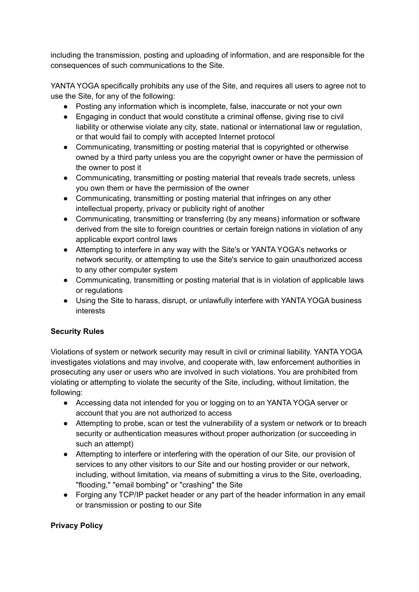including the transmission, posting and uploading of information, and are responsible for the consequences of such communications to the Site.

YANTA YOGA specifically prohibits any use of the Site, and requires all users to agree not to use the Site, for any of the following:

- Posting any information which is incomplete, false, inaccurate or not your own
- Engaging in conduct that would constitute a criminal offense, giving rise to civil liability or otherwise violate any city, state, national or international law or regulation, or that would fail to comply with accepted Internet protocol
- Communicating, transmitting or posting material that is copyrighted or otherwise owned by a third party unless you are the copyright owner or have the permission of the owner to post it
- Communicating, transmitting or posting material that reveals trade secrets, unless you own them or have the permission of the owner
- Communicating, transmitting or posting material that infringes on any other intellectual property, privacy or publicity right of another
- Communicating, transmitting or transferring (by any means) information or software derived from the site to foreign countries or certain foreign nations in violation of any applicable export control laws
- Attempting to interfere in any way with the Site's or YANTA YOGA's networks or network security, or attempting to use the Site's service to gain unauthorized access to any other computer system
- Communicating, transmitting or posting material that is in violation of applicable laws or regulations
- Using the Site to harass, disrupt, or unlawfully interfere with YANTA YOGA business interests

# **Security Rules**

Violations of system or network security may result in civil or criminal liability. YANTA YOGA investigates violations and may involve, and cooperate with, law enforcement authorities in prosecuting any user or users who are involved in such violations. You are prohibited from violating or attempting to violate the security of the Site, including, without limitation, the following:

- Accessing data not intended for you or logging on to an YANTA YOGA server or account that you are not authorized to access
- Attempting to probe, scan or test the vulnerability of a system or network or to breach security or authentication measures without proper authorization (or succeeding in such an attempt)
- Attempting to interfere or interfering with the operation of our Site, our provision of services to any other visitors to our Site and our hosting provider or our network, including, without limitation, via means of submitting a virus to the Site, overloading, "flooding," "email bombing" or "crashing" the Site
- Forging any TCP/IP packet header or any part of the header information in any email or transmission or posting to our Site

# **Privacy Policy**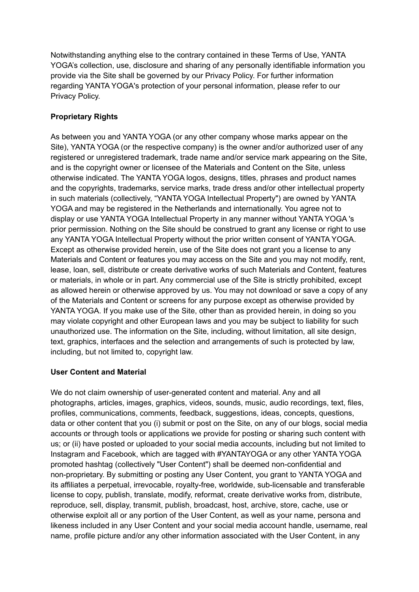Notwithstanding anything else to the contrary contained in these Terms of Use, YANTA YOGA's collection, use, disclosure and sharing of any personally identifiable information you provide via the Site shall be governed by our Privacy Policy. For further information regarding YANTA YOGA's protection of your personal information, please refer to our Privacy Policy.

# **Proprietary Rights**

As between you and YANTA YOGA (or any other company whose marks appear on the Site), YANTA YOGA (or the respective company) is the owner and/or authorized user of any registered or unregistered trademark, trade name and/or service mark appearing on the Site, and is the copyright owner or licensee of the Materials and Content on the Site, unless otherwise indicated. The YANTA YOGA logos, designs, titles, phrases and product names and the copyrights, trademarks, service marks, trade dress and/or other intellectual property in such materials (collectively, "YANTA YOGA Intellectual Property") are owned by YANTA YOGA and may be registered in the Netherlands and internationally. You agree not to display or use YANTA YOGA Intellectual Property in any manner without YANTA YOGA 's prior permission. Nothing on the Site should be construed to grant any license or right to use any YANTA YOGA Intellectual Property without the prior written consent of YANTA YOGA. Except as otherwise provided herein, use of the Site does not grant you a license to any Materials and Content or features you may access on the Site and you may not modify, rent, lease, loan, sell, distribute or create derivative works of such Materials and Content, features or materials, in whole or in part. Any commercial use of the Site is strictly prohibited, except as allowed herein or otherwise approved by us. You may not download or save a copy of any of the Materials and Content or screens for any purpose except as otherwise provided by YANTA YOGA. If you make use of the Site, other than as provided herein, in doing so you may violate copyright and other European laws and you may be subject to liability for such unauthorized use. The information on the Site, including, without limitation, all site design, text, graphics, interfaces and the selection and arrangements of such is protected by law, including, but not limited to, copyright law.

# **User Content and Material**

We do not claim ownership of user-generated content and material. Any and all photographs, articles, images, graphics, videos, sounds, music, audio recordings, text, files, profiles, communications, comments, feedback, suggestions, ideas, concepts, questions, data or other content that you (i) submit or post on the Site, on any of our blogs, social media accounts or through tools or applications we provide for posting or sharing such content with us; or (ii) have posted or uploaded to your social media accounts, including but not limited to Instagram and Facebook, which are tagged with #YANTAYOGA or any other YANTA YOGA promoted hashtag (collectively "User Content") shall be deemed non-confidential and non-proprietary. By submitting or posting any User Content, you grant to YANTA YOGA and its affiliates a perpetual, irrevocable, royalty-free, worldwide, sub-licensable and transferable license to copy, publish, translate, modify, reformat, create derivative works from, distribute, reproduce, sell, display, transmit, publish, broadcast, host, archive, store, cache, use or otherwise exploit all or any portion of the User Content, as well as your name, persona and likeness included in any User Content and your social media account handle, username, real name, profile picture and/or any other information associated with the User Content, in any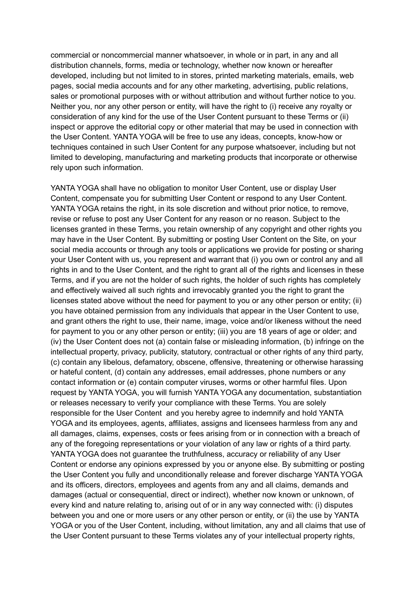commercial or noncommercial manner whatsoever, in whole or in part, in any and all distribution channels, forms, media or technology, whether now known or hereafter developed, including but not limited to in stores, printed marketing materials, emails, web pages, social media accounts and for any other marketing, advertising, public relations, sales or promotional purposes with or without attribution and without further notice to you. Neither you, nor any other person or entity, will have the right to (i) receive any royalty or consideration of any kind for the use of the User Content pursuant to these Terms or (ii) inspect or approve the editorial copy or other material that may be used in connection with the User Content. YANTA YOGA will be free to use any ideas, concepts, know-how or techniques contained in such User Content for any purpose whatsoever, including but not limited to developing, manufacturing and marketing products that incorporate or otherwise rely upon such information.

YANTA YOGA shall have no obligation to monitor User Content, use or display User Content, compensate you for submitting User Content or respond to any User Content. YANTA YOGA retains the right, in its sole discretion and without prior notice, to remove, revise or refuse to post any User Content for any reason or no reason. Subject to the licenses granted in these Terms, you retain ownership of any copyright and other rights you may have in the User Content. By submitting or posting User Content on the Site, on your social media accounts or through any tools or applications we provide for posting or sharing your User Content with us, you represent and warrant that (i) you own or control any and all rights in and to the User Content, and the right to grant all of the rights and licenses in these Terms, and if you are not the holder of such rights, the holder of such rights has completely and effectively waived all such rights and irrevocably granted you the right to grant the licenses stated above without the need for payment to you or any other person or entity; (ii) you have obtained permission from any individuals that appear in the User Content to use, and grant others the right to use, their name, image, voice and/or likeness without the need for payment to you or any other person or entity; (iii) you are 18 years of age or older; and (iv) the User Content does not (a) contain false or misleading information, (b) infringe on the intellectual property, privacy, publicity, statutory, contractual or other rights of any third party, (c) contain any libelous, defamatory, obscene, offensive, threatening or otherwise harassing or hateful content, (d) contain any addresses, email addresses, phone numbers or any contact information or (e) contain computer viruses, worms or other harmful files. Upon request by YANTA YOGA, you will furnish YANTA YOGA any documentation, substantiation or releases necessary to verify your compliance with these Terms. You are solely responsible for the User Content and you hereby agree to indemnify and hold YANTA YOGA and its employees, agents, affiliates, assigns and licensees harmless from any and all damages, claims, expenses, costs or fees arising from or in connection with a breach of any of the foregoing representations or your violation of any law or rights of a third party. YANTA YOGA does not guarantee the truthfulness, accuracy or reliability of any User Content or endorse any opinions expressed by you or anyone else. By submitting or posting the User Content you fully and unconditionally release and forever discharge YANTA YOGA and its officers, directors, employees and agents from any and all claims, demands and damages (actual or consequential, direct or indirect), whether now known or unknown, of every kind and nature relating to, arising out of or in any way connected with: (i) disputes between you and one or more users or any other person or entity, or (ii) the use by YANTA YOGA or you of the User Content, including, without limitation, any and all claims that use of the User Content pursuant to these Terms violates any of your intellectual property rights,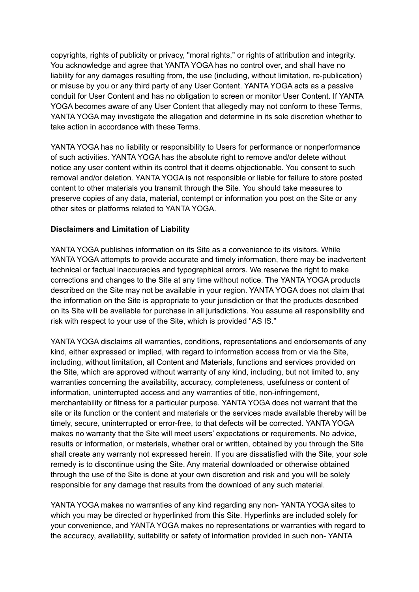copyrights, rights of publicity or privacy, "moral rights," or rights of attribution and integrity. You acknowledge and agree that YANTA YOGA has no control over, and shall have no liability for any damages resulting from, the use (including, without limitation, re-publication) or misuse by you or any third party of any User Content. YANTA YOGA acts as a passive conduit for User Content and has no obligation to screen or monitor User Content. If YANTA YOGA becomes aware of any User Content that allegedly may not conform to these Terms, YANTA YOGA may investigate the allegation and determine in its sole discretion whether to take action in accordance with these Terms.

YANTA YOGA has no liability or responsibility to Users for performance or nonperformance of such activities. YANTA YOGA has the absolute right to remove and/or delete without notice any user content within its control that it deems objectionable. You consent to such removal and/or deletion. YANTA YOGA is not responsible or liable for failure to store posted content to other materials you transmit through the Site. You should take measures to preserve copies of any data, material, contempt or information you post on the Site or any other sites or platforms related to YANTA YOGA.

## **Disclaimers and Limitation of Liability**

YANTA YOGA publishes information on its Site as a convenience to its visitors. While YANTA YOGA attempts to provide accurate and timely information, there may be inadvertent technical or factual inaccuracies and typographical errors. We reserve the right to make corrections and changes to the Site at any time without notice. The YANTA YOGA products described on the Site may not be available in your region. YANTA YOGA does not claim that the information on the Site is appropriate to your jurisdiction or that the products described on its Site will be available for purchase in all jurisdictions. You assume all responsibility and risk with respect to your use of the Site, which is provided "AS IS."

YANTA YOGA disclaims all warranties, conditions, representations and endorsements of any kind, either expressed or implied, with regard to information access from or via the Site, including, without limitation, all Content and Materials, functions and services provided on the Site, which are approved without warranty of any kind, including, but not limited to, any warranties concerning the availability, accuracy, completeness, usefulness or content of information, uninterrupted access and any warranties of title, non-infringement, merchantability or fitness for a particular purpose. YANTA YOGA does not warrant that the site or its function or the content and materials or the services made available thereby will be timely, secure, uninterrupted or error-free, to that defects will be corrected. YANTA YOGA makes no warranty that the Site will meet users' expectations or requirements. No advice, results or information, or materials, whether oral or written, obtained by you through the Site shall create any warranty not expressed herein. If you are dissatisfied with the Site, your sole remedy is to discontinue using the Site. Any material downloaded or otherwise obtained through the use of the Site is done at your own discretion and risk and you will be solely responsible for any damage that results from the download of any such material.

YANTA YOGA makes no warranties of any kind regarding any non- YANTA YOGA sites to which you may be directed or hyperlinked from this Site. Hyperlinks are included solely for your convenience, and YANTA YOGA makes no representations or warranties with regard to the accuracy, availability, suitability or safety of information provided in such non- YANTA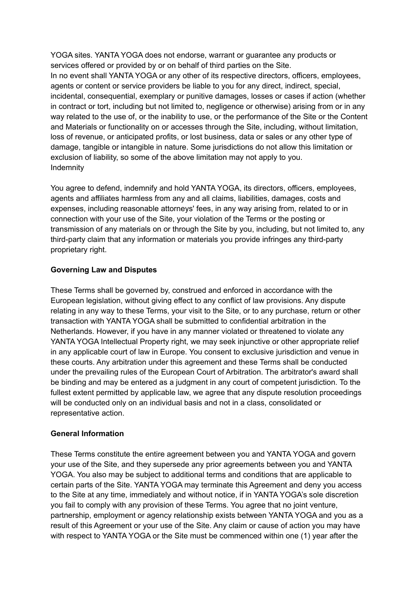YOGA sites. YANTA YOGA does not endorse, warrant or guarantee any products or services offered or provided by or on behalf of third parties on the Site. In no event shall YANTA YOGA or any other of its respective directors, officers, employees, agents or content or service providers be liable to you for any direct, indirect, special, incidental, consequential, exemplary or punitive damages, losses or cases if action (whether in contract or tort, including but not limited to, negligence or otherwise) arising from or in any way related to the use of, or the inability to use, or the performance of the Site or the Content and Materials or functionality on or accesses through the Site, including, without limitation, loss of revenue, or anticipated profits, or lost business, data or sales or any other type of damage, tangible or intangible in nature. Some jurisdictions do not allow this limitation or exclusion of liability, so some of the above limitation may not apply to you. Indemnity

You agree to defend, indemnify and hold YANTA YOGA, its directors, officers, employees, agents and affiliates harmless from any and all claims, liabilities, damages, costs and expenses, including reasonable attorneys' fees, in any way arising from, related to or in connection with your use of the Site, your violation of the Terms or the posting or transmission of any materials on or through the Site by you, including, but not limited to, any third-party claim that any information or materials you provide infringes any third-party proprietary right.

# **Governing Law and Disputes**

These Terms shall be governed by, construed and enforced in accordance with the European legislation, without giving effect to any conflict of law provisions. Any dispute relating in any way to these Terms, your visit to the Site, or to any purchase, return or other transaction with YANTA YOGA shall be submitted to confidential arbitration in the Netherlands. However, if you have in any manner violated or threatened to violate any YANTA YOGA Intellectual Property right, we may seek injunctive or other appropriate relief in any applicable court of law in Europe. You consent to exclusive jurisdiction and venue in these courts. Any arbitration under this agreement and these Terms shall be conducted under the prevailing rules of the European Court of Arbitration. The arbitrator's award shall be binding and may be entered as a judgment in any court of competent jurisdiction. To the fullest extent permitted by applicable law, we agree that any dispute resolution proceedings will be conducted only on an individual basis and not in a class, consolidated or representative action.

# **General Information**

These Terms constitute the entire agreement between you and YANTA YOGA and govern your use of the Site, and they supersede any prior agreements between you and YANTA YOGA. You also may be subject to additional terms and conditions that are applicable to certain parts of the Site. YANTA YOGA may terminate this Agreement and deny you access to the Site at any time, immediately and without notice, if in YANTA YOGA's sole discretion you fail to comply with any provision of these Terms. You agree that no joint venture, partnership, employment or agency relationship exists between YANTA YOGA and you as a result of this Agreement or your use of the Site. Any claim or cause of action you may have with respect to YANTA YOGA or the Site must be commenced within one (1) year after the